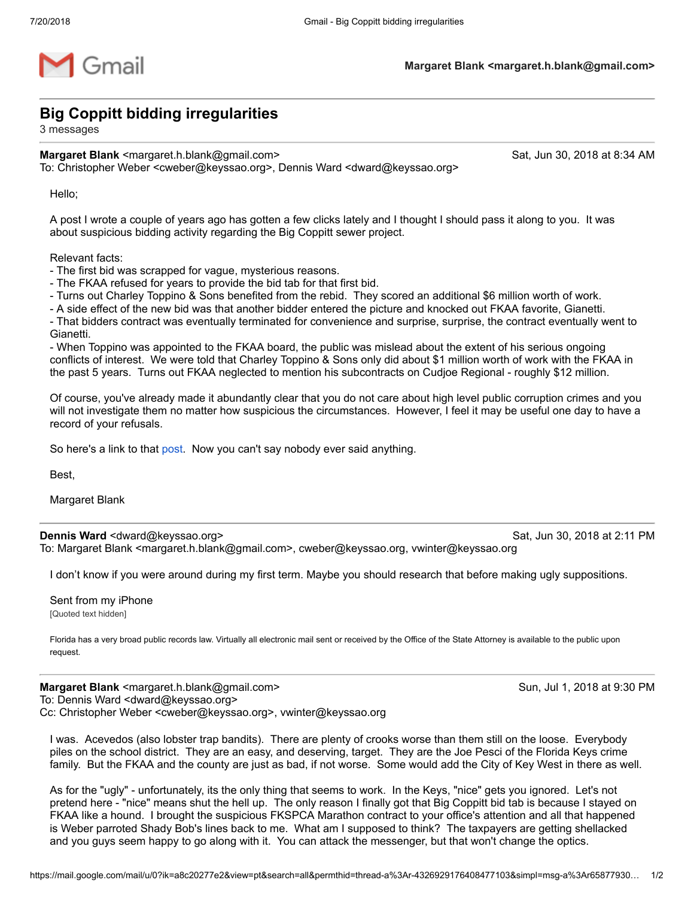

## **Big Coppitt bidding irregularities**

3 messages

**Margaret Blank** <margaret.h.blank@gmail.com> Sat, Jun 30, 2018 at 8:34 AM To: Christopher Weber <cweber@keyssao.org>, Dennis Ward <dward@keyssao.org>

Hello;

A post I wrote a couple of years ago has gotten a few clicks lately and I thought I should pass it along to you. It was about suspicious bidding activity regarding the Big Coppitt sewer project.

Relevant facts:

- The first bid was scrapped for vague, mysterious reasons.
- The FKAA refused for years to provide the bid tab for that first bid.
- Turns out Charley Toppino & Sons benefited from the rebid. They scored an additional \$6 million worth of work.

- A side effect of the new bid was that another bidder entered the picture and knocked out FKAA favorite, Gianetti.

- That bidders contract was eventually terminated for convenience and surprise, surprise, the contract eventually went to Gianetti.

- When Toppino was appointed to the FKAA board, the public was mislead about the extent of his serious ongoing conflicts of interest. We were told that Charley Toppino & Sons only did about \$1 million worth of work with the FKAA in the past 5 years. Turns out FKAA neglected to mention his subcontracts on Cudjoe Regional - roughly \$12 million.

Of course, you've already made it abundantly clear that you do not care about high level public corruption crimes and you will not investigate them no matter how suspicious the circumstances. However, I feel it may be useful one day to have a record of your refusals.

So here's a link to that [post](https://therealpoop.org/2016/06/05/big-coppitt-more-missing-documents/). Now you can't say nobody ever said anything.

Best,

Margaret Blank

**Dennis Ward** <dward@keyssao.org> Sat, Jun 30, 2018 at 2:11 PM

To: Margaret Blank <margaret.h.blank@gmail.com>, cweber@keyssao.org, vwinter@keyssao.org

I don't know if you were around during my first term. Maybe you should research that before making ugly suppositions.

Sent from my iPhone [Quoted text hidden]

Florida has a very broad public records law. Virtually all electronic mail sent or received by the Office of the State Attorney is available to the public upon request.

**Margaret Blank** <margaret.h.blank@gmail.com> Sun, Jul 1, 2018 at 9:30 PM To: Dennis Ward <dward@keyssao.org> Cc: Christopher Weber <cweber@keyssao.org>, vwinter@keyssao.org

I was. Acevedos (also lobster trap bandits). There are plenty of crooks worse than them still on the loose. Everybody piles on the school district. They are an easy, and deserving, target. They are the Joe Pesci of the Florida Keys crime family. But the FKAA and the county are just as bad, if not worse. Some would add the City of Key West in there as well.

As for the "ugly" - unfortunately, its the only thing that seems to work. In the Keys, "nice" gets you ignored. Let's not pretend here - "nice" means shut the hell up. The only reason I finally got that Big Coppitt bid tab is because I stayed on FKAA like a hound. I brought the suspicious FKSPCA Marathon contract to your office's attention and all that happened is Weber parroted Shady Bob's lines back to me. What am I supposed to think? The taxpayers are getting shellacked and you guys seem happy to go along with it. You can attack the messenger, but that won't change the optics.